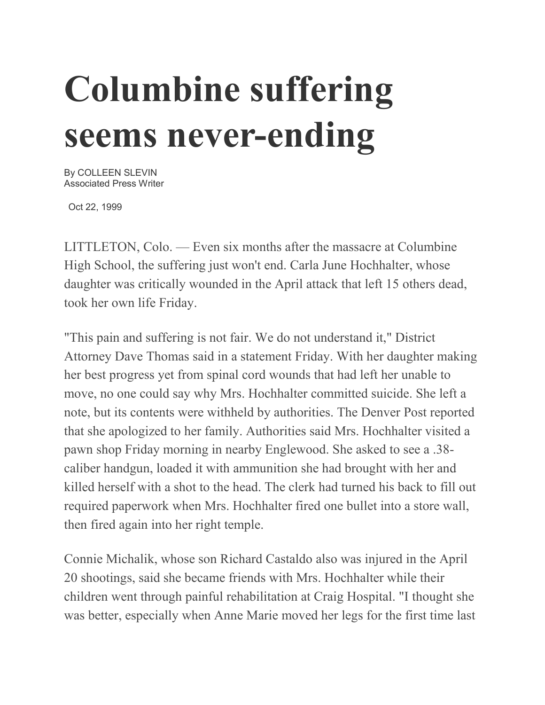## **Columbine suffering seems never-ending**

By COLLEEN SLEVIN Associated Press Writer

Oct 22, 1999

LITTLETON, Colo. — Even six months after the massacre at Columbine High School, the suffering just won't end. Carla June Hochhalter, whose daughter was critically wounded in the April attack that left 15 others dead, took her own life Friday.

"This pain and suffering is not fair. We do not understand it," District Attorney Dave Thomas said in a statement Friday. With her daughter making her best progress yet from spinal cord wounds that had left her unable to move, no one could say why Mrs. Hochhalter committed suicide. She left a note, but its contents were withheld by authorities. The Denver Post reported that she apologized to her family. Authorities said Mrs. Hochhalter visited a pawn shop Friday morning in nearby Englewood. She asked to see a .38 caliber handgun, loaded it with ammunition she had brought with her and killed herself with a shot to the head. The clerk had turned his back to fill out required paperwork when Mrs. Hochhalter fired one bullet into a store wall, then fired again into her right temple.

Connie Michalik, whose son Richard Castaldo also was injured in the April 20 shootings, said she became friends with Mrs. Hochhalter while their children went through painful rehabilitation at Craig Hospital. "I thought she was better, especially when Anne Marie moved her legs for the first time last